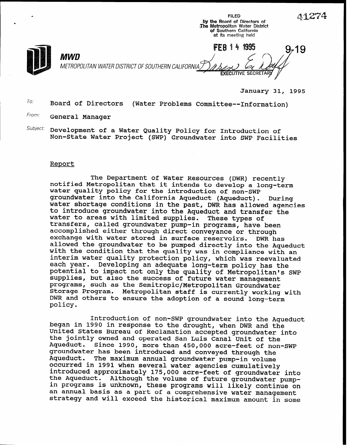l by the Board of Directors of The Metropolitan Water District of Southern California at its meeting held FEB 14 1995 19 MWD METROPOLITAN WATER DISTRICT OF SOUTHERN CALIFORNIA 7 **EXECUTIVE SECRETAR** 

 $\mathcal{A}$  and  $\mathcal{A}$  and  $\mathcal{A}$  and  $\mathcal{A}$  and  $\mathcal{A}$  and  $\mathcal{A}$  and  $\mathcal{A}$  and  $\mathcal{A}$  and  $\mathcal{A}$  and  $\mathcal{A}$  and  $\mathcal{A}$  and  $\mathcal{A}$  and  $\mathcal{A}$  and  $\mathcal{A}$  and  $\mathcal{A}$  and  $\mathcal{A}$  and  $\mathcal{A}$  and

January 31, 1995

 $T_{0}$ : Board of Directors (Water Problems Committee--Information)

From: General Manager

 $Subject:$  Development of a Water Quality Policy for Introduction of Non-State Water Project (SWP) Groundwater into SWP Facilities

## Report

The Department of Water Resources (DWR) recently notified Metropolitan that it intends to develop a long-term water quality policy for the introduction of non-SWP groundwater into the California Aqueduct (Aqueduct). water shortage conditions in the past, DWR has allowed agencie During to introduce groundwater into the Aqueduct and transfer the water to areas with limited supplies. These types of transfers, called groundwater pump-in programs, have been accomplished either through direct conveyance or through exchange with water stored in surface reservoirs. DWR has allowed the groundwater to be pumped directly into the Aqueduct with the condition that the quality was in compliance with an interim water quality protection policy, which was reevaluated each year. Developing an adequate long-term policy has the potential to impact not only the quality of Metropolitan's SWP supplies, but also the success of future water management programs, such as the Semitropic/Metropolitan Groundwater Storage Program. Metropolitan staff is currently working with DWR and others to ensure the adoption of a sound long-term policy.

Introduction of non-SWP groundwater into the Aqueduct began in 1990 in response to the drought, when DWR and the United States Bureau of Reclamation accepted groundwater into the jointly owned and operated San Luis Canal Unit of the Aqueduct. Since 1990, more than 450,000 acre-feet of non-SWP groundwater has been introduced and conveyed through the Aqueduct. The maximum annual groundwater pump-in volume occurred in 1991 when several water agencies cumulatively introduced approximately 175,000 acre-feet of groundwater into the Aqueduct. Although the volume of future groundwater pumpin programs is unknown, these programs will likely continue on an annual basis as a part of a comprehensive water management strategy and will exceed the historical maximum amount in some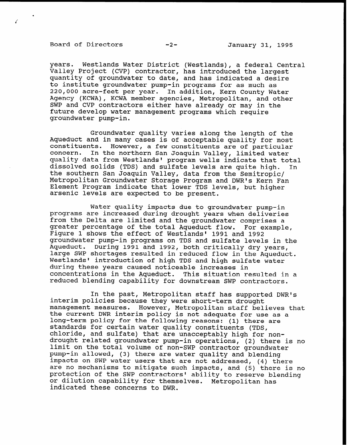Board of Directors -2- January 31, 1995

Z

years. Westlands Water District (Westlands), a federal Central Valley Project (CVP) contractor, has introduced the largest quantity of groundwater to date, and has indicated a desire to institute groundwater pump-in programs for as much as 220,000 acre-feet per year. In addition, Kern County Water Agency (KCWA), KCWA member agencies, Metropolitan, and other SWP and CVP contractors either have already or may in the future develop water management programs which require groundwater pump-in.

Groundwater quality varies along the length of the Aqueduct and in many cases is of acceptable quality for most constituents. However, a few constituents are of particular concern. In the northern San Joaquin Valley, limited water quality data from Westlands' program wells indicate that total dissolved solids (TDS) and sulfate levels are quite high. In the southern San Joaquin Valley, data from the Semitropic/ Metropolitan Groundwater Storage Program and DWR's Kern Fan Element Program indicate that lower TDS levels, but higher arsenic levels are expected to be present.

Water quality impacts due to groundwater pump-in programs are increased during drought years when deliveries from the Delta are limited and the groundwater comprises a greater percentage of the total Aqueduct flow. For example, Figure 1 shows the effect of Westlands' 1991 and 1992 groundwater pump-in programs on TDS and sulfate levels in the Aqueduct. During 1991 and 1992, both critically dry years, large SWP shortages resulted in reduced flow in the Aqueduct. Westlands' introduction of high TDS and high sulfate water during these years caused noticeable increases in concentrations in the Aqueduct. This situation resulted in a reduced blending capability for downstream SWP contractors.

In the past, Metropolitan staff has supported DWR's interim policies because they were short-term drought management measures. However, Metropolitan staff believes that the current DWR interim policy is not adequate for use as a long-term policy for the following reasons: (1) there are standards for certain water quality constituents (TDS, chloride, and sulfate) that are unacceptably high for nondrought related groundwater pump-in operations, (2) there is no limit on the total volume of non-SWP contractor groundwater pump-in allowed, (3) there are water quality and blending impacts on SWP water users that are not addressed, (4) there are no mechanisms to mitigate such impacts, and (5) there is no protection of the SWP contractors' ability to reserve blending or dilution capability for themselves. Metropolitan has indicated these concerns to DWR.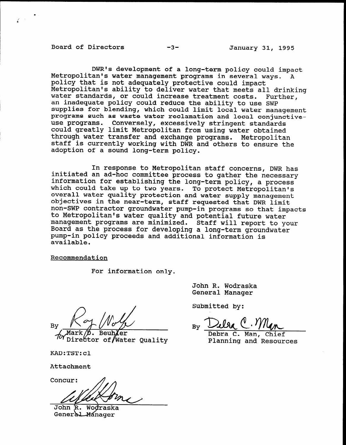Board of Directors -3- January 31, 1995

.

DWR's development of a long-term policy could impact Metropolitan's water management programs in several ways. A policy that is not adequately protective could impact Metropolitan's ability to deliver water that meets all drinking water standards, or could increase treatment costs. Further, an inadequate policy could reduce the ability to use SWP supplies for blending, which could limit local water management programs such as waste water reclamation and local conjunctiveuse programs. Conversely, excessively stringent standards could greatly limit Metropolitan from using water obtained through water transfer and exchange programs. Metropolitan staff is currently working with DWR and others to ensure the adoption of a sound long-term policy.

In response to Metropolitan staff concerns, DWR has initiated an ad-hoc committee process to gather the necessary information for establishing the long-term policy, a process which could take up to two years. To protect Metropolitan's overall water quality protection and water supply management overail water quality protection and water supply management non-SWP contractor groundwater pump-in programs so that impacts non-SWP contractor groundwater pump-in programs so that impacts<br>to Metropolitan's water quality and potential future water co mecroporican's water quarity and potential future water<br>management programs are minimized. Staff will report to your manayement programs are minimized. Starf Will report to Board as the process for developing a long-term groundwater pump-in policy proceeds and additional information is available.

Recommendation

For information only.

Bv

**Beul** Ctor of∥Water Oualitv

Concur:

John R. Wod General Manager

 $\overline{z}$  is a more real function  $\overline{z}$ Jonn R. Wodrask

Submitted by:

 $D$ elga  $\theta$ .  $\gamma$  $C$  Man

Debra C. Man, Chief